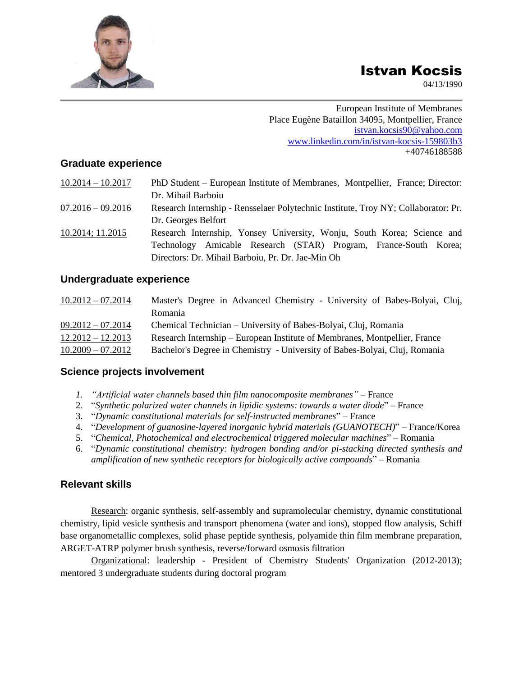# Istvan Kocsis

04/13/1990

European Institute of Membranes Place Eugène Bataillon 34095, Montpellier, France [istvan.kocsis90@yahoo.com](mailto:istvan.kocsis90@yahoo.com) www.linkedin.com/in/istvan-kocsis-159803b3 +40746188588

#### **Graduate experience**

| $10.2014 - 10.2017$ | PhD Student – European Institute of Membranes, Montpellier, France; Director:      |
|---------------------|------------------------------------------------------------------------------------|
|                     | Dr. Mihail Barboiu                                                                 |
| $07.2016 - 09.2016$ | Research Internship - Rensselaer Polytechnic Institute, Troy NY; Collaborator: Pr. |
|                     | Dr. Georges Belfort                                                                |
| 10.2014; 11.2015    | Research Internship, Yonsey University, Wonju, South Korea; Science and            |
|                     | Technology Amicable Research (STAR) Program, France-South Korea;                   |
|                     | Directors: Dr. Mihail Barboiu, Pr. Dr. Jae-Min Oh                                  |

#### **Undergraduate experience**

| $10.2012 - 07.2014$ | Master's Degree in Advanced Chemistry - University of Babes-Bolyai, Cluj,  |
|---------------------|----------------------------------------------------------------------------|
|                     | Romania                                                                    |
| $09.2012 - 07.2014$ | Chemical Technician – University of Babes-Bolyai, Cluj, Romania            |
| $12.2012 - 12.2013$ | Research Internship – European Institute of Membranes, Montpellier, France |
| $10.2009 - 07.2012$ | Bachelor's Degree in Chemistry - University of Babes-Bolyai, Cluj, Romania |

## **Science projects involvement**

- *1. "Artificial water channels based thin film nanocomposite membranes"* France
- 2. "*Synthetic polarized water channels in lipidic systems: towards a water diode*" France
- 3. "*Dynamic constitutional materials for self-instructed membranes*" France
- 4. "*Development of guanosine-layered inorganic hybrid materials (GUANOTECH)*" France/Korea
- 5. "*Chemical, Photochemical and electrochemical triggered molecular machines*" Romania
- 6. "*Dynamic constitutional chemistry: hydrogen bonding and/or pi-stacking directed synthesis and amplification of new synthetic receptors for biologically active compounds*" – Romania

## **Relevant skills**

Research: organic synthesis, self-assembly and supramolecular chemistry, dynamic constitutional chemistry, lipid vesicle synthesis and transport phenomena (water and ions), stopped flow analysis, Schiff base organometallic complexes, solid phase peptide synthesis, polyamide thin film membrane preparation, ARGET-ATRP polymer brush synthesis, reverse/forward osmosis filtration

Organizational: leadership - President of Chemistry Students' Organization (2012-2013); mentored 3 undergraduate students during doctoral program

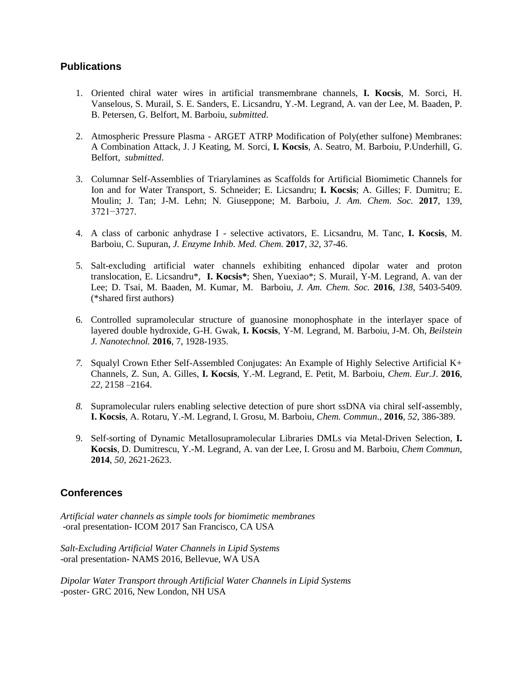#### **Publications**

- 1. Oriented chiral water wires in artificial transmembrane channels, **I. Kocsis**, M. Sorci, H. Vanselous, S. Murail, S. E. Sanders, E. Licsandru, Y.-M. Legrand, A. van der Lee, M. Baaden, P. B. Petersen, G. Belfort, M. Barboiu, *submitted*.
- 2. Atmospheric Pressure Plasma ARGET ATRP Modification of Poly(ether sulfone) Membranes: A Combination Attack, J. J Keating, M. Sorci, **I. Kocsis**, A. Seatro, M. Barboiu, P.Underhill, G. Belfort, *submitted*.
- 3. Columnar Self-Assemblies of Triarylamines as Scaffolds for Artificial Biomimetic Channels for Ion and for Water Transport, S. Schneider; E. Licsandru; **I. Kocsis**; A. Gilles; F. Dumitru; E. Moulin; J. Tan; J-M. Lehn; N. Giuseppone; M. Barboiu, *J. Am. Chem. Soc.* **2017**, 139, 3721−3727.
- 4. A class of carbonic anhydrase I selective activators*,* E. Licsandru, M. Tanc, **I. Kocsis**, M. Barboiu, C. Supuran, *J. Enzyme Inhib. Med. Chem.* **2017**, *32*, 37-46.
- 5. Salt-excluding artificial water channels exhibiting enhanced dipolar water and proton translocation*,* E. Licsandru\*, **I. Kocsis\***; Shen, Yuexiao\*; S. Murail, Y-M. Legrand, A. van der Lee; D. Tsai, M. Baaden, M. Kumar, M. Barboiu, *J. Am. Chem. Soc.* **2016**, *138*, 5403-5409. (\*shared first authors)
- 6. Controlled supramolecular structure of guanosine monophosphate in the interlayer space of layered double hydroxide, G-H. Gwak, **I. Kocsis**, Y-M. Legrand, M. Barboiu, J-M. Oh, *Beilstein J. Nanotechnol.* **2016**, 7, 1928-1935.
- *7.* Squalyl Crown Ether Self-Assembled Conjugates: An Example of Highly Selective Artificial K+ Channels*,* Z. Sun, A. Gilles, **I. Kocsis**, Y.-M. Legrand, E. Petit, M. Barboiu, *Chem. Eur.J*. **2016**, *22*, 2158 –2164.
- *8.* Supramolecular rulers enabling selective detection of pure short ssDNA via chiral self-assembly*,*  **I. Kocsis**, A. Rotaru, Y.-M. Legrand, I. Grosu, M. Barboiu, *Chem. Commun*., **2016**, *52*, 386-389.
- 9. Self-sorting of Dynamic Metallosupramolecular Libraries DMLs via Metal-Driven Selection, **I. Kocsis**, D. Dumitrescu, Y.-M. Legrand, A. van der Lee, I. Grosu and M. Barboiu, *Chem Commun*, **2014**, *50*, 2621-2623.

## **Conferences**

*Artificial water channels as simple tools for biomimetic membranes* -oral presentation- ICOM 2017 San Francisco, CA USA

*Salt-Excluding Artificial Water Channels in Lipid Systems* -oral presentation- NAMS 2016, Bellevue, WA USA

*Dipolar Water Transport through Artificial Water Channels in Lipid Systems* -poster- GRC 2016, New London, NH USA